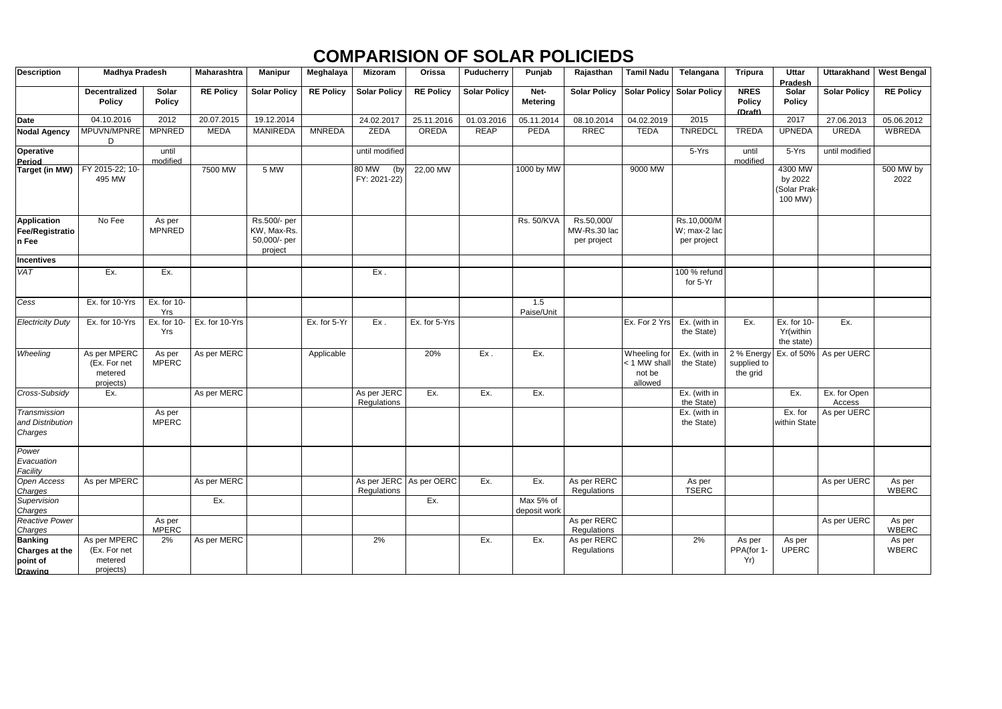| <b>Description</b>                                                    | <b>Madhya Pradesh</b>                                |                                  | <b>Maharashtra</b> | <b>Manipur</b>                                         | Meghalaya        | <b>Mizoram</b>                         | Orissa           | <b>Puducherry</b>   | Punjab                    | Rajasthan                                 | <b>Tamil Nadu</b>                                 | Telangana                                  | <b>Tripura</b>                          | <b>Uttar</b><br>Pradesh                       | <b>Uttarakhand</b>     | <b>West Bengal</b>     |
|-----------------------------------------------------------------------|------------------------------------------------------|----------------------------------|--------------------|--------------------------------------------------------|------------------|----------------------------------------|------------------|---------------------|---------------------------|-------------------------------------------|---------------------------------------------------|--------------------------------------------|-----------------------------------------|-----------------------------------------------|------------------------|------------------------|
|                                                                       | <b>Decentralized</b><br><b>Policy</b>                | Solar<br><b>Policy</b>           | <b>RE Policy</b>   | <b>Solar Policy</b>                                    | <b>RE Policy</b> | <b>Solar Policy</b>                    | <b>RE Policy</b> | <b>Solar Policy</b> | Net-<br><b>Metering</b>   | <b>Solar Policy</b>                       |                                                   | <b>Solar Policy Solar Policy</b>           | <b>NRES</b><br><b>Policy</b><br>(Draft) | Solar<br><b>Policy</b>                        | <b>Solar Policy</b>    | <b>RE Policy</b>       |
| <b>Date</b>                                                           | 04.10.2016                                           | 2012                             | 20.07.2015         | 19.12.2014                                             |                  | 24.02.2017                             | 25.11.2016       | 01.03.2016          | 05.11.2014                | 08.10.2014                                | 04.02.2019                                        | 2015                                       |                                         | 2017                                          | 27.06.2013             | 05.06.2012             |
| <b>Nodal Agency</b>                                                   | MPUVN/MPNRE<br>D                                     | <b>MPNRED</b>                    | <b>MEDA</b>        | <b>MANIREDA</b>                                        | <b>MNREDA</b>    | ZEDA                                   | OREDA            | <b>REAP</b>         | PEDA                      | <b>RREC</b>                               | <b>TEDA</b>                                       | <b>TNREDCL</b>                             | <b>TREDA</b>                            | <b>UPNEDA</b>                                 | <b>UREDA</b>           | <b>WBREDA</b>          |
| <b>Operative</b><br>Period                                            |                                                      | until<br>modified                |                    |                                                        |                  | until modified                         |                  |                     |                           |                                           |                                                   | 5-Yrs                                      | until<br>modified                       | 5-Yrs                                         | until modified         |                        |
| Target (in MW)                                                        | FY 2015-22; 10-<br>495 MW                            |                                  | 7500 MW            | 5 MW                                                   |                  | 80 MW<br>(by<br>FY: 2021-22)           | 22,00 MW         |                     | 1000 by MW                |                                           | 9000 MW                                           |                                            |                                         | 4300 MW<br>by 2022<br>(Solar Prak-<br>100 MW) |                        | 500 MW by<br>2022      |
| <b>Application</b><br><b>Fee/Registratio</b><br>n Fee                 | No Fee                                               | As per<br><b>MPNRED</b>          |                    | Rs.500/- per<br>KW, Max-Rs.<br>50,000/- per<br>project |                  |                                        |                  |                     | <b>Rs. 50/KVA</b>         | Rs.50,000/<br>MW-Rs.30 lac<br>per project |                                                   | Rs.10,000/M<br>W; max-2 lac<br>per project |                                         |                                               |                        |                        |
| <b>Incentives</b>                                                     |                                                      |                                  |                    |                                                        |                  |                                        |                  |                     |                           |                                           |                                                   |                                            |                                         |                                               |                        |                        |
| <b>VAT</b>                                                            | Ex.                                                  | Ex.                              |                    |                                                        |                  | Ex.                                    |                  |                     |                           |                                           |                                                   | 100 % refund<br>for 5-Yr                   |                                         |                                               |                        |                        |
| Cess                                                                  | Ex. for 10-Yrs                                       | Ex. for 10-<br>Yrs               |                    |                                                        |                  |                                        |                  |                     | 1.5<br>Paise/Unit         |                                           |                                                   |                                            |                                         |                                               |                        |                        |
| <b>Electricity Duty</b>                                               | Ex. for 10-Yrs                                       | $\overline{Ex}$ . for 10-<br>Yrs | Ex. for 10-Yrs     |                                                        | Ex. for 5-Yr     | Ex.                                    | Ex. for 5-Yrs    |                     |                           |                                           | Ex. For 2 Yrs                                     | Ex. (with in<br>the State)                 | Ex.                                     | Ex. for 10-<br>Yr(within<br>the state)        | Ex.                    |                        |
| Wheeling                                                              | As per MPERC<br>(Ex. For net<br>metered<br>projects) | As per<br><b>MPERC</b>           | As per MERC        |                                                        | Applicable       |                                        | 20%              | Ex.                 | Ex.                       |                                           | Wheeling for<br>< 1 MW shall<br>not be<br>allowed | Ex. (with in<br>the State)                 | 2 % Energy<br>supplied to<br>the grid   | Ex. of 50%                                    | As per UERC            |                        |
| Cross-Subsidy                                                         | Ex.                                                  |                                  | As per MERC        |                                                        |                  | As per JERC<br>Regulations             | Ex.              | Ex.                 | Ex.                       |                                           |                                                   | Ex. (with in<br>the State)                 |                                         | Ex.                                           | Ex. for Open<br>Access |                        |
| Transmission<br>and Distribution<br>Charges                           |                                                      | As per<br><b>MPERC</b>           |                    |                                                        |                  |                                        |                  |                     |                           |                                           |                                                   | Ex. (with in<br>the State)                 |                                         | Ex. for<br>within State                       | As per UERC            |                        |
| Power<br>Evacuation<br>Facility                                       |                                                      |                                  |                    |                                                        |                  |                                        |                  |                     |                           |                                           |                                                   |                                            |                                         |                                               |                        |                        |
| Open Access<br>Charges                                                | As per MPERC                                         |                                  | As per MERC        |                                                        |                  | As per JERC As per OERC<br>Regulations |                  | Ex.                 | Ex.                       | As per RERC<br>Regulations                |                                                   | As per<br><b>TSERC</b>                     |                                         |                                               | As per UERC            | As per<br>WBERC        |
| Supervision<br>Charges                                                |                                                      |                                  | Ex.                |                                                        |                  |                                        | Ex.              |                     | Max 5% of<br>deposit work |                                           |                                                   |                                            |                                         |                                               |                        |                        |
| <b>Reactive Power</b><br>Charges                                      |                                                      | As per<br><b>MPERC</b>           |                    |                                                        |                  |                                        |                  |                     |                           | As per RERC<br>Regulations                |                                                   |                                            |                                         |                                               | As per UERC            | As per<br><b>WBERC</b> |
| <b>Banking</b><br><b>Charges at the</b><br>point of<br><b>Drawing</b> | As per MPERC<br>(Ex. For net<br>metered<br>projects) | $2\%$                            | As per MERC        |                                                        |                  | $2\%$                                  |                  | Ex.                 | Ex.                       | As per RERC<br>Regulations                |                                                   | 2%                                         | As per<br>PPA(for 1-<br>Yr)             | As per<br><b>UPERC</b>                        |                        | As per<br>WBERC        |

## **COMPARISION OF SOLAR POLICIEDS**